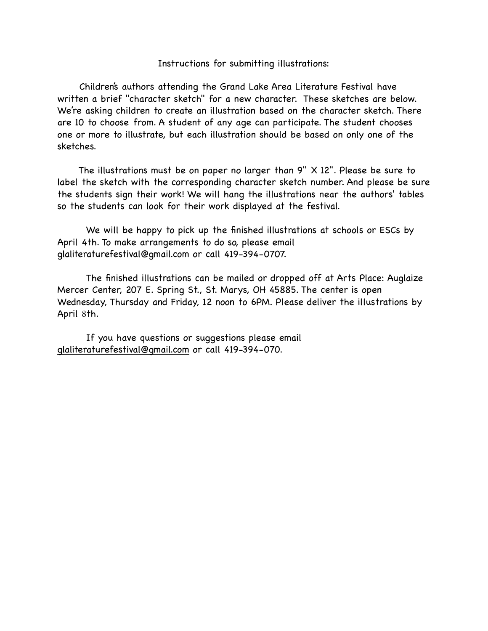## Instructions for submitting illustrations:

 Children's authors attending the Grand Lake Area Literature Festival have written a brief "character sketch" for a new character. These sketches are below. We're asking children to create an illustration based on the character sketch. There are 10 to choose from. A student of any age can participate. The student chooses one or more to illustrate, but each illustration should be based on only one of the sketches.

 The illustrations must be on paper no larger than 9" X 12". Please be sure to label the sketch with the corresponding character sketch number. And please be sure the students sign their work! We will hang the illustrations near the authors' tables so the students can look for their work displayed at the festival.

We will be happy to pick up the finished illustrations at schools or ESCs by April 4th. To make arrangements to do so, please email [glaliteraturefestival@gmail.com](mailto:glaliteraturefestival@gmail.com) or call 419-394-0707.

The finished illustrations can be mailed or dropped off at Arts Place: Auglaize Mercer Center, 207 E. Spring St., St. Marys, OH 45885. The center is open Wednesday, Thursday and Friday, 12 noon to 6PM. Please deliver the illustrations by April 8th.

If you have questions or suggestions please email [glaliteraturefestival@gmail.com](mailto:glaliteraturefestival@gmail.com) or call 419-394-070.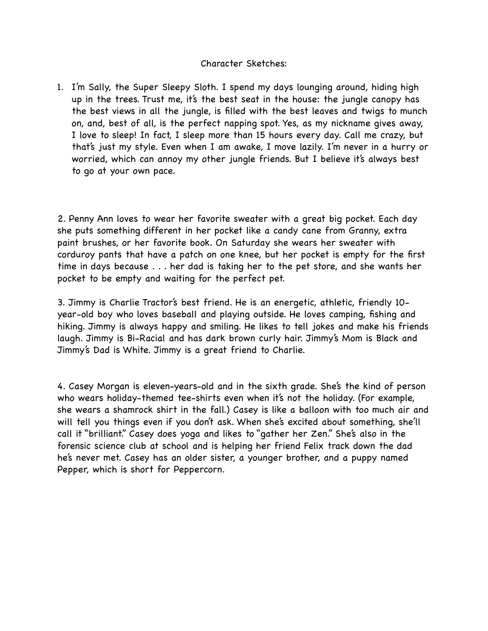## Character Sketches:

1. I'm Sally, the Super Sleepy Sloth. I spend my days lounging around, hiding high up in the trees. Trust me, it's the best seat in the house: the jungle canopy has the best views in all the jungle, is filled with the best leaves and twigs to munch on, and, best of all, is the perfect napping spot. Yes, as my nickname gives away, I love to sleep! In fact, I sleep more than 15 hours every day. Call me crazy, but that's just my style. Even when I am awake, I move lazily. I'm never in a hurry or worried, which can annoy my other jungle friends. But I believe it's always best to go at your own pace.

2. Penny Ann loves to wear her favorite sweater with a great big pocket. Each day she puts something different in her pocket like a candy cane from Granny, extra paint brushes, or her favorite book. On Saturday she wears her sweater with corduroy pants that have a patch on one knee, but her pocket is empty for the first time in days because . . . her dad is taking her to the pet store, and she wants her pocket to be empty and waiting for the perfect pet.

3. Jimmy is Charlie Tractor's best friend. He is an energetic, athletic, friendly 10 year-old boy who loves baseball and playing outside. He loves camping, fishing and hiking. Jimmy is always happy and smiling. He likes to tell jokes and make his friends laugh. Jimmy is Bi-Racial and has dark brown curly hair. Jimmy's Mom is Black and Jimmy's Dad is White. Jimmy is a great friend to Charlie.

4. Casey Morgan is eleven-years-old and in the sixth grade. She's the kind of person who wears holiday-themed tee-shirts even when it's not the holiday. (For example, she wears a shamrock shirt in the fall.) Casey is like a balloon with too much air and will tell you things even if you don't ask. When she's excited about something, she'll call it "brilliant." Casey does yoga and likes to "gather her Zen." She's also in the forensic science club at school and is helping her friend Felix track down the dad he's never met. Casey has an older sister, a younger brother, and a puppy named Pepper, which is short for Peppercorn.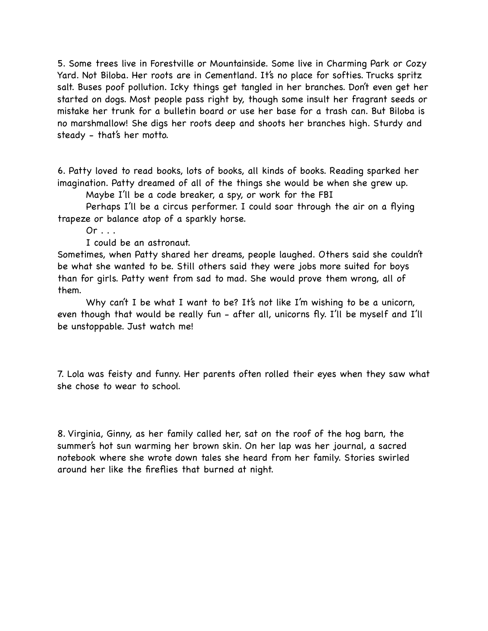5. Some trees live in Forestville or Mountainside. Some live in Charming Park or Cozy Yard. Not Biloba. Her roots are in Cementland. It's no place for softies. Trucks spritz salt. Buses poof pollution. Icky things get tangled in her branches. Don't even get her started on dogs. Most people pass right by, though some insult her fragrant seeds or mistake her trunk for a bulletin board or use her base for a trash can. But Biloba is no marshmallow! She digs her roots deep and shoots her branches high. Sturdy and steady - that's her motto.

6. Patty loved to read books, lots of books, all kinds of books. Reading sparked her imagination. Patty dreamed of all of the things she would be when she grew up.

Maybe I'll be a code breaker, a spy, or work for the FBI

 Perhaps I'll be a circus performer. I could soar through the air on a flying trapeze or balance atop of a sparkly horse.

 $Or \ldots$ 

I could be an astronaut.

Sometimes, when Patty shared her dreams, people laughed. Others said she couldn't be what she wanted to be. Still others said they were jobs more suited for boys than for girls. Patty went from sad to mad. She would prove them wrong, all of them.

Why can't I be what I want to be? It's not like I'm wishing to be a unicorn, even though that would be really fun - after all, unicorns fly. I'll be myself and I'll be unstoppable. Just watch me!

7. Lola was feisty and funny. Her parents often rolled their eyes when they saw what she chose to wear to school.

8. Virginia, Ginny, as her family called her, sat on the roof of the hog barn, the summer's hot sun warming her brown skin. On her lap was her journal, a sacred notebook where she wrote down tales she heard from her family. Stories swirled around her like the fireflies that burned at night.